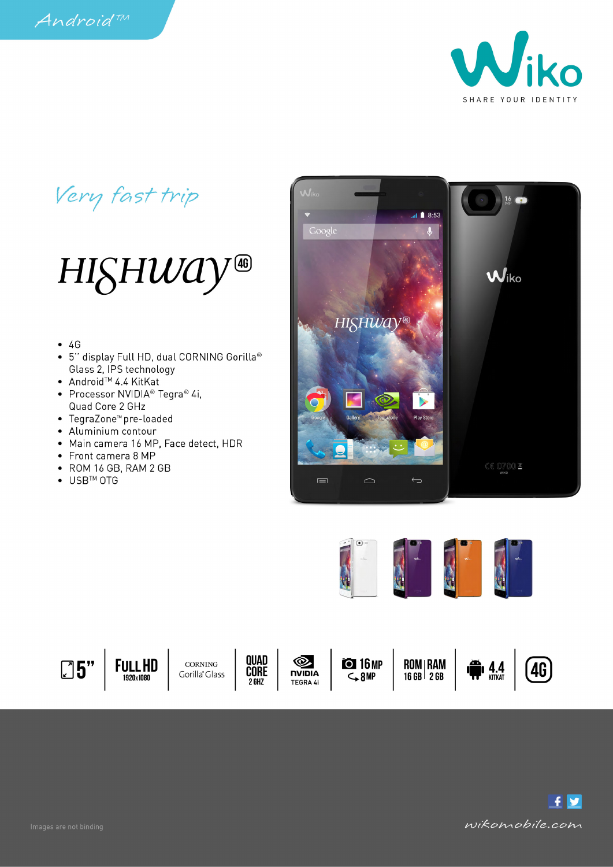

## Very fast trip

## HISHWAY<sup>40</sup>

- $\bullet$  4G
- 5" display Full HD, dual CORNING Gorilla® Glass 2, IPS technology
- Android<sup>™</sup> 4.4 KitKat
- Processor NVIDIA<sup>®</sup> Tegra<sup>®</sup> 4i, Quad Core 2 GHz
- TegraZone™ pre-loaded
- Aluminium contour
- Main camera 16 MP, Face detect, HDR
- Front camera 8 MP
- ROM 16 GB, RAM 2 GB
- USB<sup>™</sup> OTG







**FULL HD** 1920x1080

CORNING Gorilla<sup>®</sup> Glass





**O 16 MP**  $-8MP$ 

**ROM | RAM<br>16 GB | 2 GB** 





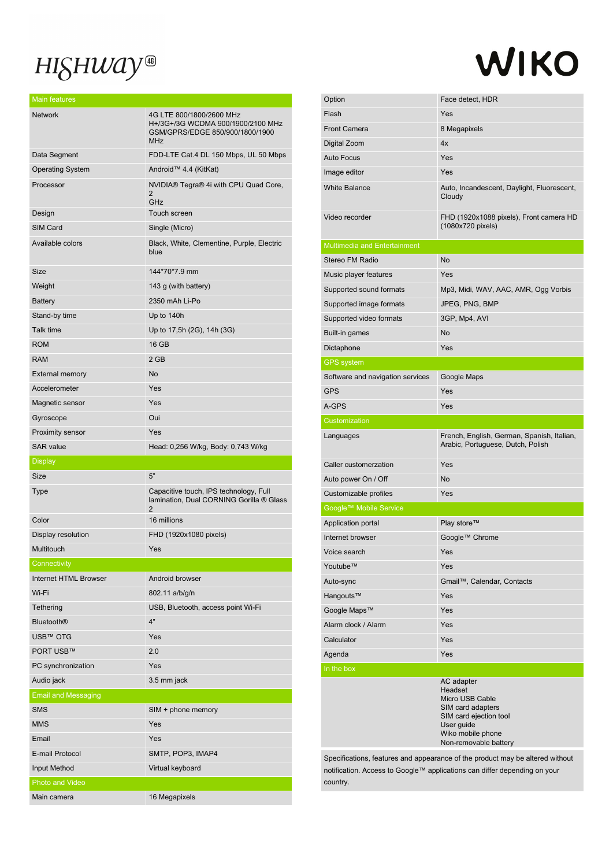## HISHWAY®

Main features

## WIKO

| <b>Mail Icaluics</b>         |                                                                                                                |
|------------------------------|----------------------------------------------------------------------------------------------------------------|
| <b>Network</b>               | 4G LTE 800/1800/2600 MHz<br>H+/3G+/3G WCDMA 900/1900/2100 MHz<br>GSM/GPRS/EDGE 850/900/1800/1900<br><b>MHz</b> |
| Data Segment                 | FDD-LTE Cat.4 DL 150 Mbps, UL 50 Mbps                                                                          |
| <b>Operating System</b>      | Android™ 4.4 (KitKat)                                                                                          |
| Processor                    | NVIDIA® Tegra® 4i with CPU Quad Core,<br>2<br>GHz                                                              |
| Design                       | Touch screen                                                                                                   |
| SIM Card                     | Single (Micro)                                                                                                 |
| Available colors             | Black, White, Clementine, Purple, Electric<br>blue                                                             |
| Size                         | 144*70*7.9 mm                                                                                                  |
| Weight                       | 143 g (with battery)                                                                                           |
| <b>Battery</b>               | 2350 mAh Li-Po                                                                                                 |
| Stand-by time                | Up to 140h                                                                                                     |
| Talk time                    | Up to 17,5h (2G), 14h (3G)                                                                                     |
| <b>ROM</b>                   | 16 GB                                                                                                          |
| <b>RAM</b>                   | 2 GB                                                                                                           |
| <b>External memory</b>       | No                                                                                                             |
| Accelerometer                | Yes                                                                                                            |
| Magnetic sensor              | Yes                                                                                                            |
| Gyroscope                    | Oui                                                                                                            |
| Proximity sensor             | Yes                                                                                                            |
|                              |                                                                                                                |
| <b>SAR</b> value             | Head: 0,256 W/kg, Body: 0,743 W/kg                                                                             |
| <b>Display</b>               |                                                                                                                |
| Size                         | 5"                                                                                                             |
| Type                         | Capacitive touch, IPS technology, Full<br>lamination, Dual CORNING Gorilla ® Glass<br>$\overline{2}$           |
| Color                        | 16 millions                                                                                                    |
| Display resolution           | FHD (1920x1080 pixels)                                                                                         |
| Multitouch                   | Yes                                                                                                            |
| Connectivity                 |                                                                                                                |
| <b>Internet HTML Browser</b> | Android browser                                                                                                |
| Wi-Fi                        | 802.11 a/b/g/n                                                                                                 |
| Tethering                    | USB, Bluetooth, access point Wi-Fi                                                                             |
| <b>Bluetooth®</b>            | 4"                                                                                                             |
| USB™ OTG                     | Yes                                                                                                            |
| PORT USB™                    | 2.0                                                                                                            |
| PC synchronization           | Yes                                                                                                            |
| Audio jack                   | 3.5 mm jack                                                                                                    |
| <b>Email and Messaging</b>   |                                                                                                                |
| <b>SMS</b>                   | SIM + phone memory                                                                                             |
| <b>MMS</b>                   | Yes                                                                                                            |
| Email                        | Yes                                                                                                            |
| E-mail Protocol              | SMTP, POP3, IMAP4                                                                                              |
| <b>Input Method</b>          | Virtual keyboard                                                                                               |
| Photo and Video              |                                                                                                                |

| Option<br>Flash                     |                                                                                 |
|-------------------------------------|---------------------------------------------------------------------------------|
|                                     | Face detect, HDR                                                                |
|                                     | Yes                                                                             |
| <b>Front Camera</b>                 | 8 Megapixels                                                                    |
| Digital Zoom                        | 4x                                                                              |
| Auto Focus                          | Yes                                                                             |
| Image editor                        | Yes                                                                             |
| <b>White Balance</b>                | Auto, Incandescent, Daylight, Fluorescent,<br>Cloudy                            |
| Video recorder                      | FHD (1920x1088 pixels), Front camera HD<br>(1080x720 pixels)                    |
| <b>Multimedia and Entertainment</b> |                                                                                 |
| Stereo FM Radio                     | <b>No</b>                                                                       |
| Music player features               | Yes                                                                             |
| Supported sound formats             | Mp3, Midi, WAV, AAC, AMR, Ogg Vorbis                                            |
| Supported image formats             | JPEG, PNG, BMP                                                                  |
| Supported video formats             | 3GP, Mp4, AVI                                                                   |
| Built-in games                      | <b>No</b>                                                                       |
| Dictaphone                          | Yes                                                                             |
| <b>GPS</b> system                   |                                                                                 |
| Software and navigation services    | Google Maps                                                                     |
| <b>GPS</b>                          | Yes                                                                             |
| A-GPS                               | Yes                                                                             |
| Customization                       |                                                                                 |
| Languages                           | French, English, German, Spanish, Italian,<br>Arabic, Portuguese, Dutch, Polish |
|                                     |                                                                                 |
| Caller customerzation               | Yes                                                                             |
| Auto power On / Off                 | <b>No</b>                                                                       |
| Customizable profiles               | Yes                                                                             |
| Google™ Mobile Service              |                                                                                 |
| Application portal                  | Play store™                                                                     |
| Internet browser                    | Google™ Chrome                                                                  |
| Voice search                        | Yes                                                                             |
| Youtube™                            | Yes                                                                             |
| Auto-sync                           | Gmail™, Calendar, Contacts                                                      |
| Hangouts™                           | Yes                                                                             |
| Google Maps™                        | Yes                                                                             |
| Alarm clock / Alarm                 | Yes                                                                             |
| Calculator                          | Yes                                                                             |
| Agenda                              | Yes                                                                             |
| In the box                          |                                                                                 |

Specifications, features and appearance of the product may be altered without notification. Access to Google™ applications can differ depending on your country.